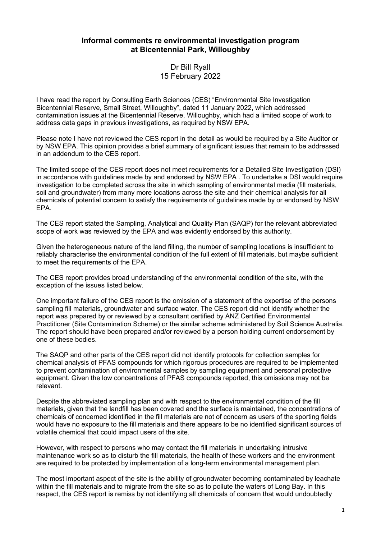## **Informal comments re environmental investigation program at Bicentennial Park, Willoughby**

Dr Bill Ryall 15 February 2022

I have read the report by Consulting Earth Sciences (CES) "Environmental Site Investigation Bicentennial Reserve, Small Street, Willoughby", dated 11 January 2022, which addressed contamination issues at the Bicentennial Reserve, Willoughby, which had a limited scope of work to address data gaps in previous investigations, as required by NSW EPA.

Please note I have not reviewed the CES report in the detail as would be required by a Site Auditor or by NSW EPA. This opinion provides a brief summary of significant issues that remain to be addressed in an addendum to the CES report.

The limited scope of the CES report does not meet requirements for a Detailed Site Investigation (DSI) in accordance with guidelines made by and endorsed by NSW EPA . To undertake a DSI would require investigation to be completed across the site in which sampling of environmental media (fill materials, soil and groundwater) from many more locations across the site and their chemical analysis for all chemicals of potential concern to satisfy the requirements of guidelines made by or endorsed by NSW EPA.

The CES report stated the Sampling, Analytical and Quality Plan (SAQP) for the relevant abbreviated scope of work was reviewed by the EPA and was evidently endorsed by this authority.

Given the heterogeneous nature of the land filling, the number of sampling locations is insufficient to reliably characterise the environmental condition of the full extent of fill materials, but maybe sufficient to meet the requirements of the EPA.

The CES report provides broad understanding of the environmental condition of the site, with the exception of the issues listed below.

One important failure of the CES report is the omission of a statement of the expertise of the persons sampling fill materials, groundwater and surface water. The CES report did not identify whether the report was prepared by or reviewed by a consultant certified by ANZ Certified Environmental Practitioner (Site Contamination Scheme) or the similar scheme administered by Soil Science Australia. The report should have been prepared and/or reviewed by a person holding current endorsement by one of these bodies.

The SAQP and other parts of the CES report did not identify protocols for collection samples for chemical analysis of PFAS compounds for which rigorous procedures are required to be implemented to prevent contamination of environmental samples by sampling equipment and personal protective equipment. Given the low concentrations of PFAS compounds reported, this omissions may not be relevant.

Despite the abbreviated sampling plan and with respect to the environmental condition of the fill materials, given that the landfill has been covered and the surface is maintained, the concentrations of chemicals of concerned identified in the fill materials are not of concern as users of the sporting fields would have no exposure to the fill materials and there appears to be no identified significant sources of volatile chemical that could impact users of the site.

However, with respect to persons who may contact the fill materials in undertaking intrusive maintenance work so as to disturb the fill materials, the health of these workers and the environment are required to be protected by implementation of a long-term environmental management plan.

The most important aspect of the site is the ability of groundwater becoming contaminated by leachate within the fill materials and to migrate from the site so as to pollute the waters of Long Bay. In this respect, the CES report is remiss by not identifying all chemicals of concern that would undoubtedly